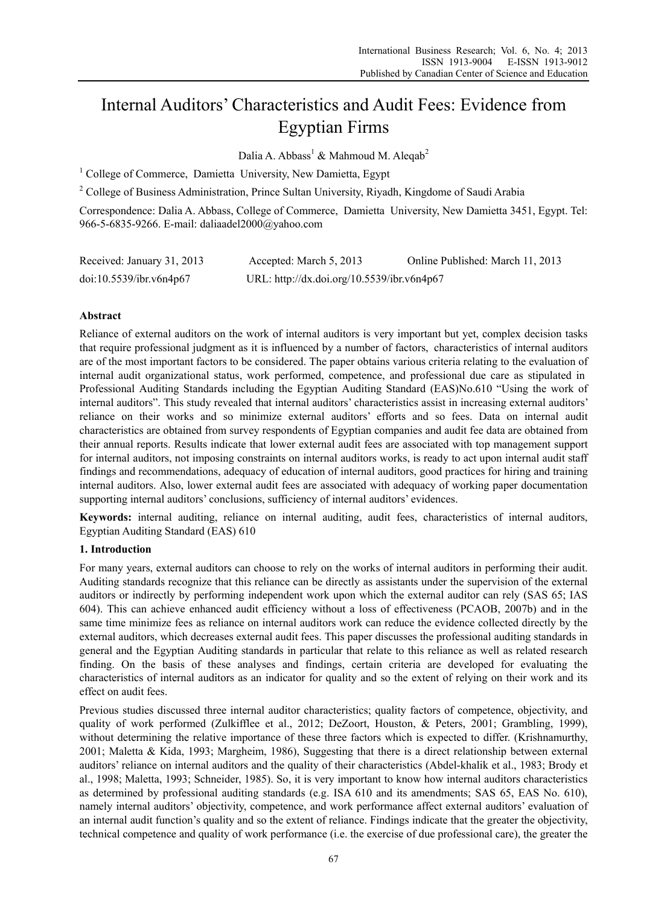# Internal Auditors' Characteristics and Audit Fees: Evidence from Egyptian Firms

Dalia A. Abbass<sup>1</sup> & Mahmoud M. Aleqab<sup>2</sup>

<sup>1</sup> College of Commerce, Damietta University, New Damietta, Egypt

<sup>2</sup> College of Business Administration, Prince Sultan University, Riyadh, Kingdome of Saudi Arabia

Correspondence: Dalia A. Abbass, College of Commerce, Damietta University, New Damietta 3451, Egypt. Tel: 966-5-6835-9266. E-mail: daliaadel2000@yahoo.com

| Received: January 31, 2013 | Accepted: March 5, 2013                    | Online Published: March 11, 2013 |
|----------------------------|--------------------------------------------|----------------------------------|
| doi:10.5539/ibr.v6n4p67    | URL: http://dx.doi.org/10.5539/ibr.v6n4p67 |                                  |

# **Abstract**

Reliance of external auditors on the work of internal auditors is very important but yet, complex decision tasks that require professional judgment as it is influenced by a number of factors, characteristics of internal auditors are of the most important factors to be considered. The paper obtains various criteria relating to the evaluation of internal audit organizational status, work performed, competence, and professional due care as stipulated in Professional Auditing Standards including the Egyptian Auditing Standard (EAS)No.610 "Using the work of internal auditors". This study revealed that internal auditors' characteristics assist in increasing external auditors' reliance on their works and so minimize external auditors' efforts and so fees. Data on internal audit characteristics are obtained from survey respondents of Egyptian companies and audit fee data are obtained from their annual reports. Results indicate that lower external audit fees are associated with top management support for internal auditors, not imposing constraints on internal auditors works, is ready to act upon internal audit staff findings and recommendations, adequacy of education of internal auditors, good practices for hiring and training internal auditors. Also, lower external audit fees are associated with adequacy of working paper documentation supporting internal auditors' conclusions, sufficiency of internal auditors' evidences.

**Keywords:** internal auditing, reliance on internal auditing, audit fees, characteristics of internal auditors, Egyptian Auditing Standard (EAS) 610

### **1. Introduction**

For many years, external auditors can choose to rely on the works of internal auditors in performing their audit. Auditing standards recognize that this reliance can be directly as assistants under the supervision of the external auditors or indirectly by performing independent work upon which the external auditor can rely (SAS 65; IAS 604). This can achieve enhanced audit efficiency without a loss of effectiveness (PCAOB, 2007b) and in the same time minimize fees as reliance on internal auditors work can reduce the evidence collected directly by the external auditors, which decreases external audit fees. This paper discusses the professional auditing standards in general and the Egyptian Auditing standards in particular that relate to this reliance as well as related research finding. On the basis of these analyses and findings, certain criteria are developed for evaluating the characteristics of internal auditors as an indicator for quality and so the extent of relying on their work and its effect on audit fees.

Previous studies discussed three internal auditor characteristics; quality factors of competence, objectivity, and quality of work performed (Zulkifflee et al., 2012; DeZoort, Houston, & Peters, 2001; Grambling, 1999), without determining the relative importance of these three factors which is expected to differ. (Krishnamurthy, 2001; Maletta & Kida, 1993; Margheim, 1986), Suggesting that there is a direct relationship between external auditors' reliance on internal auditors and the quality of their characteristics (Abdel-khalik et al., 1983; Brody et al., 1998; Maletta, 1993; Schneider, 1985). So, it is very important to know how internal auditors characteristics as determined by professional auditing standards (e.g. ISA 610 and its amendments; SAS 65, EAS No. 610), namely internal auditors' objectivity, competence, and work performance affect external auditors' evaluation of an internal audit function's quality and so the extent of reliance. Findings indicate that the greater the objectivity, technical competence and quality of work performance (i.e. the exercise of due professional care), the greater the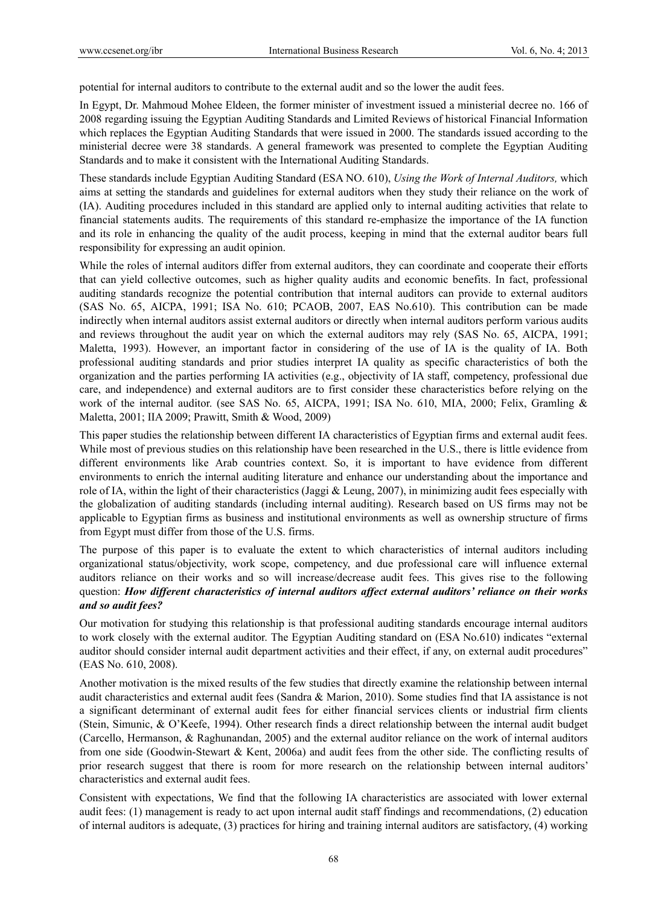potential for internal auditors to contribute to the external audit and so the lower the audit fees.

In Egypt, Dr. Mahmoud Mohee Eldeen, the former minister of investment issued a ministerial decree no. 166 of 2008 regarding issuing the Egyptian Auditing Standards and Limited Reviews of historical Financial Information which replaces the Egyptian Auditing Standards that were issued in 2000. The standards issued according to the ministerial decree were 38 standards. A general framework was presented to complete the Egyptian Auditing Standards and to make it consistent with the International Auditing Standards.

These standards include Egyptian Auditing Standard (ESA NO. 610), *Using the Work of Internal Auditors,* which aims at setting the standards and guidelines for external auditors when they study their reliance on the work of (IA). Auditing procedures included in this standard are applied only to internal auditing activities that relate to financial statements audits. The requirements of this standard re-emphasize the importance of the IA function and its role in enhancing the quality of the audit process, keeping in mind that the external auditor bears full responsibility for expressing an audit opinion.

While the roles of internal auditors differ from external auditors, they can coordinate and cooperate their efforts that can yield collective outcomes, such as higher quality audits and economic benefits. In fact, professional auditing standards recognize the potential contribution that internal auditors can provide to external auditors (SAS No. 65, AICPA, 1991; ISA No. 610; PCAOB, 2007, EAS No.610). This contribution can be made indirectly when internal auditors assist external auditors or directly when internal auditors perform various audits and reviews throughout the audit year on which the external auditors may rely (SAS No. 65, AICPA, 1991; Maletta, 1993). However, an important factor in considering of the use of IA is the quality of IA. Both professional auditing standards and prior studies interpret IA quality as specific characteristics of both the organization and the parties performing IA activities (e.g., objectivity of IA staff, competency, professional due care, and independence) and external auditors are to first consider these characteristics before relying on the work of the internal auditor. (see SAS No. 65, AICPA, 1991; ISA No. 610, MIA, 2000; Felix, Gramling & Maletta, 2001; IIA 2009; Prawitt, Smith & Wood, 2009)

This paper studies the relationship between different IA characteristics of Egyptian firms and external audit fees. While most of previous studies on this relationship have been researched in the U.S., there is little evidence from different environments like Arab countries context. So, it is important to have evidence from different environments to enrich the internal auditing literature and enhance our understanding about the importance and role of IA, within the light of their characteristics (Jaggi & Leung, 2007), in minimizing audit fees especially with the globalization of auditing standards (including internal auditing). Research based on US firms may not be applicable to Egyptian firms as business and institutional environments as well as ownership structure of firms from Egypt must differ from those of the U.S. firms.

The purpose of this paper is to evaluate the extent to which characteristics of internal auditors including organizational status/objectivity, work scope, competency, and due professional care will influence external auditors reliance on their works and so will increase/decrease audit fees. This gives rise to the following question: *How different characteristics of internal auditors affect external auditors' reliance on their works and so audit fees?* 

Our motivation for studying this relationship is that professional auditing standards encourage internal auditors to work closely with the external auditor. The Egyptian Auditing standard on (ESA No.610) indicates "external auditor should consider internal audit department activities and their effect, if any, on external audit procedures" (EAS No. 610, 2008).

Another motivation is the mixed results of the few studies that directly examine the relationship between internal audit characteristics and external audit fees (Sandra & Marion, 2010). Some studies find that IA assistance is not a significant determinant of external audit fees for either financial services clients or industrial firm clients (Stein, Simunic, & O'Keefe, 1994). Other research finds a direct relationship between the internal audit budget (Carcello, Hermanson, & Raghunandan, 2005) and the external auditor reliance on the work of internal auditors from one side (Goodwin-Stewart & Kent, 2006a) and audit fees from the other side. The conflicting results of prior research suggest that there is room for more research on the relationship between internal auditors' characteristics and external audit fees.

Consistent with expectations, We find that the following IA characteristics are associated with lower external audit fees: (1) management is ready to act upon internal audit staff findings and recommendations, (2) education of internal auditors is adequate, (3) practices for hiring and training internal auditors are satisfactory, (4) working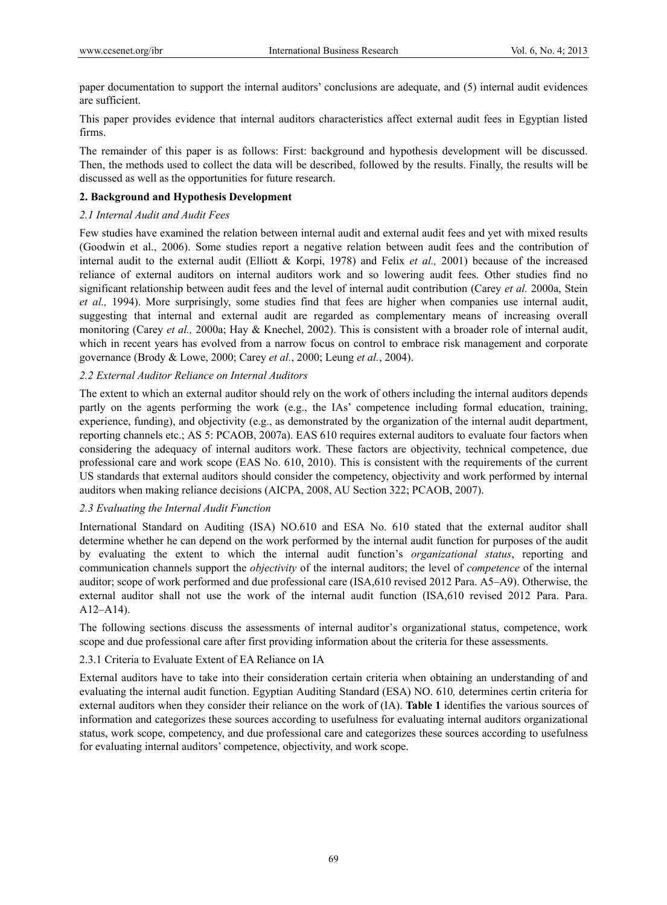paper documentation to support the internal auditors' conclusions are adequate, and (5) internal audit evidences are sufficient.

This paper provides evidence that internal auditors characteristics affect external audit fees in Egyptian listed firms.

The remainder of this paper is as follows: First: background and hypothesis development will be discussed. Then, the methods used to collect the data will be described, followed by the results. Finally, the results will be discussed as well as the opportunities for future research.

# **2. Background and Hypothesis Development**

# *2.1 Internal Audit and Audit Fees*

Few studies have examined the relation between internal audit and external audit fees and yet with mixed results (Goodwin et al., 2006). Some studies report a negative relation between audit fees and the contribution of internal audit to the external audit (Elliott & Korpi, 1978) and Felix *et al.,* 2001) because of the increased reliance of external auditors on internal auditors work and so lowering audit fees. Other studies find no significant relationship between audit fees and the level of internal audit contribution (Carey *et al.* 2000a, Stein *et al.,* 1994). More surprisingly, some studies find that fees are higher when companies use internal audit, suggesting that internal and external audit are regarded as complementary means of increasing overall monitoring (Carey *et al.*, 2000a; Hay & Knechel, 2002). This is consistent with a broader role of internal audit, which in recent years has evolved from a narrow focus on control to embrace risk management and corporate governance (Brody & Lowe, 2000; Carey *et al.*, 2000; Leung *et al.*, 2004).

# *2.2 External Auditor Reliance on Internal Auditors*

The extent to which an external auditor should rely on the work of others including the internal auditors depends partly on the agents performing the work (e.g., the IAs' competence including formal education, training, experience, funding), and objectivity (e.g., as demonstrated by the organization of the internal audit department, reporting channels etc.; AS 5: PCAOB, 2007a). EAS 610 requires external auditors to evaluate four factors when considering the adequacy of internal auditors work. These factors are objectivity, technical competence, due professional care and work scope (EAS No. 610, 2010). This is consistent with the requirements of the current US standards that external auditors should consider the competency, objectivity and work performed by internal auditors when making reliance decisions (AICPA, 2008, AU Section 322; PCAOB, 2007).

### *2.3 Evaluating the Internal Audit Function*

International Standard on Auditing (ISA) NO.610 and ESA No. 610 stated that the external auditor shall determine whether he can depend on the work performed by the internal audit function for purposes of the audit by evaluating the extent to which the internal audit function's *organizational status*, reporting and communication channels support the *objectivity* of the internal auditors; the level of *competence* of the internal auditor; scope of work performed and due professional care (ISA,610 revised 2012 Para. A5–A9). Otherwise, the external auditor shall not use the work of the internal audit function (ISA,610 revised 2012 Para. Para. A12–A14).

The following sections discuss the assessments of internal auditor's organizational status, competence, work scope and due professional care after first providing information about the criteria for these assessments.

# 2.3.1 Criteria to Evaluate Extent of EA Reliance on IA

External auditors have to take into their consideration certain criteria when obtaining an understanding of and evaluating the internal audit function. Egyptian Auditing Standard (ESA) NO. 610*,* determines certin criteria for external auditors when they consider their reliance on the work of (IA). **Table 1** identifies the various sources of information and categorizes these sources according to usefulness for evaluating internal auditors organizational status, work scope, competency, and due professional care and categorizes these sources according to usefulness for evaluating internal auditors' competence, objectivity, and work scope.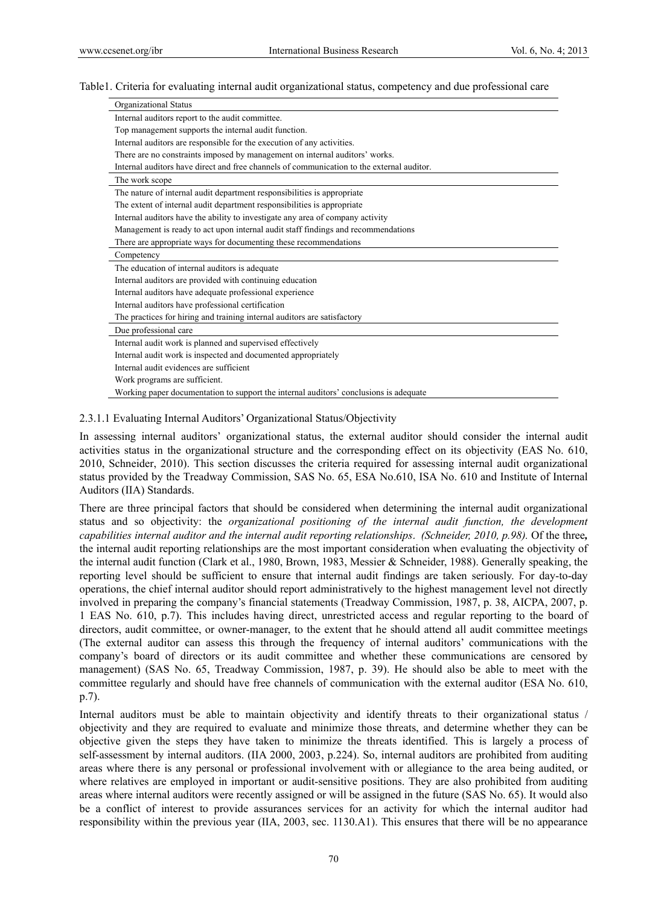#### Table1. Criteria for evaluating internal audit organizational status, competency and due professional care

| Organizational Status                                                                     |
|-------------------------------------------------------------------------------------------|
| Internal auditors report to the audit committee.                                          |
| Top management supports the internal audit function.                                      |
| Internal auditors are responsible for the execution of any activities.                    |
| There are no constraints imposed by management on internal auditors' works.               |
| Internal auditors have direct and free channels of communication to the external auditor. |
| The work scope                                                                            |
| The nature of internal audit department responsibilities is appropriate                   |
| The extent of internal audit department responsibilities is appropriate                   |
| Internal auditors have the ability to investigate any area of company activity            |
| Management is ready to act upon internal audit staff findings and recommendations         |
| There are appropriate ways for documenting these recommendations                          |
| Competency                                                                                |
| The education of internal auditors is adequate                                            |
| Internal auditors are provided with continuing education                                  |
| Internal auditors have adequate professional experience                                   |
| Internal auditors have professional certification                                         |
| The practices for hiring and training internal auditors are satisfactory                  |
| Due professional care                                                                     |
| Internal audit work is planned and supervised effectively                                 |
| Internal audit work is inspected and documented appropriately                             |
| Internal audit evidences are sufficient                                                   |
| Work programs are sufficient.                                                             |
| Working paper documentation to support the internal auditors' conclusions is adequate     |

#### 2.3.1.1 Evaluating Internal Auditors' Organizational Status/Objectivity

In assessing internal auditors' organizational status, the external auditor should consider the internal audit activities status in the organizational structure and the corresponding effect on its objectivity (EAS No. 610, 2010, Schneider, 2010). This section discusses the criteria required for assessing internal audit organizational status provided by the Treadway Commission, SAS No. 65, ESA No.610, ISA No. 610 and Institute of Internal Auditors (IIA) Standards.

There are three principal factors that should be considered when determining the internal audit organizational status and so objectivity: the *organizational positioning of the internal audit function, the development capabilities internal auditor and the internal audit reporting relationships*. *(Schneider, 2010, p.98).* Of the three*,*  the internal audit reporting relationships are the most important consideration when evaluating the objectivity of the internal audit function (Clark et al., 1980, Brown, 1983, Messier & Schneider, 1988). Generally speaking, the reporting level should be sufficient to ensure that internal audit findings are taken seriously. For day-to-day operations, the chief internal auditor should report administratively to the highest management level not directly involved in preparing the company's financial statements (Treadway Commission, 1987, p. 38, AICPA, 2007, p. 1 EAS No. 610, p.7). This includes having direct, unrestricted access and regular reporting to the board of directors, audit committee, or owner-manager, to the extent that he should attend all audit committee meetings (The external auditor can assess this through the frequency of internal auditors' communications with the company's board of directors or its audit committee and whether these communications are censored by management) (SAS No. 65, Treadway Commission, 1987, p. 39). He should also be able to meet with the committee regularly and should have free channels of communication with the external auditor (ESA No. 610, p.7).

Internal auditors must be able to maintain objectivity and identify threats to their organizational status / objectivity and they are required to evaluate and minimize those threats, and determine whether they can be objective given the steps they have taken to minimize the threats identified. This is largely a process of self-assessment by internal auditors. (IIA 2000, 2003, p.224). So, internal auditors are prohibited from auditing areas where there is any personal or professional involvement with or allegiance to the area being audited, or where relatives are employed in important or audit-sensitive positions. They are also prohibited from auditing areas where internal auditors were recently assigned or will be assigned in the future (SAS No. 65). It would also be a conflict of interest to provide assurances services for an activity for which the internal auditor had responsibility within the previous year (IIA, 2003, sec. 1130.A1). This ensures that there will be no appearance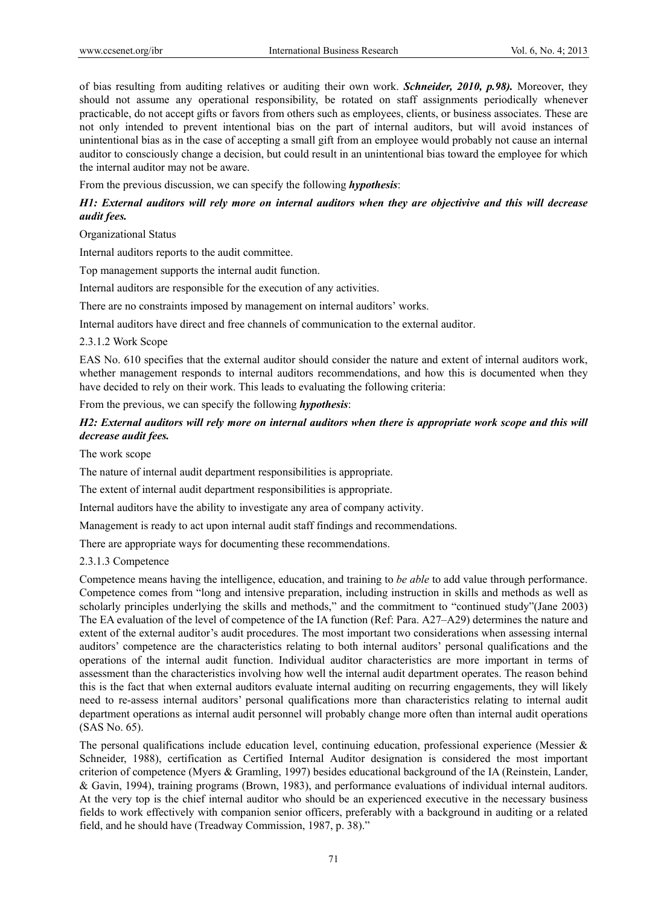of bias resulting from auditing relatives or auditing their own work. *Schneider, 2010, p.98).* Moreover, they should not assume any operational responsibility, be rotated on staff assignments periodically whenever practicable, do not accept gifts or favors from others such as employees, clients, or business associates. These are not only intended to prevent intentional bias on the part of internal auditors, but will avoid instances of unintentional bias as in the case of accepting a small gift from an employee would probably not cause an internal auditor to consciously change a decision, but could result in an unintentional bias toward the employee for which the internal auditor may not be aware.

From the previous discussion, we can specify the following *hypothesis*:

*H1: External auditors will rely more on internal auditors when they are objectivive and this will decrease audit fees.* 

### Organizational Status

Internal auditors reports to the audit committee.

Top management supports the internal audit function.

Internal auditors are responsible for the execution of any activities.

There are no constraints imposed by management on internal auditors' works.

Internal auditors have direct and free channels of communication to the external auditor.

#### 2.3.1.2 Work Scope

EAS No. 610 specifies that the external auditor should consider the nature and extent of internal auditors work, whether management responds to internal auditors recommendations, and how this is documented when they have decided to rely on their work. This leads to evaluating the following criteria:

From the previous, we can specify the following *hypothesis*:

# *H2: External auditors will rely more on internal auditors when there is appropriate work scope and this will decrease audit fees.*

The work scope

The nature of internal audit department responsibilities is appropriate.

The extent of internal audit department responsibilities is appropriate.

Internal auditors have the ability to investigate any area of company activity.

Management is ready to act upon internal audit staff findings and recommendations.

There are appropriate ways for documenting these recommendations.

### 2.3.1.3 Competence

Competence means having the intelligence, education, and training to *be able* to add value through performance. Competence comes from "long and intensive preparation, including instruction in skills and methods as well as scholarly principles underlying the skills and methods," and the commitment to "continued study"(Jane 2003) The EA evaluation of the level of competence of the IA function (Ref: Para. A27–A29) determines the nature and extent of the external auditor's audit procedures. The most important two considerations when assessing internal auditors' competence are the characteristics relating to both internal auditors' personal qualifications and the operations of the internal audit function. Individual auditor characteristics are more important in terms of assessment than the characteristics involving how well the internal audit department operates. The reason behind this is the fact that when external auditors evaluate internal auditing on recurring engagements, they will likely need to re-assess internal auditors' personal qualifications more than characteristics relating to internal audit department operations as internal audit personnel will probably change more often than internal audit operations (SAS No. 65).

The personal qualifications include education level, continuing education, professional experience (Messier & Schneider, 1988), certification as Certified Internal Auditor designation is considered the most important criterion of competence (Myers & Gramling, 1997) besides educational background of the IA (Reinstein, Lander, & Gavin, 1994), training programs (Brown, 1983), and performance evaluations of individual internal auditors. At the very top is the chief internal auditor who should be an experienced executive in the necessary business fields to work effectively with companion senior officers, preferably with a background in auditing or a related field, and he should have (Treadway Commission, 1987, p. 38)."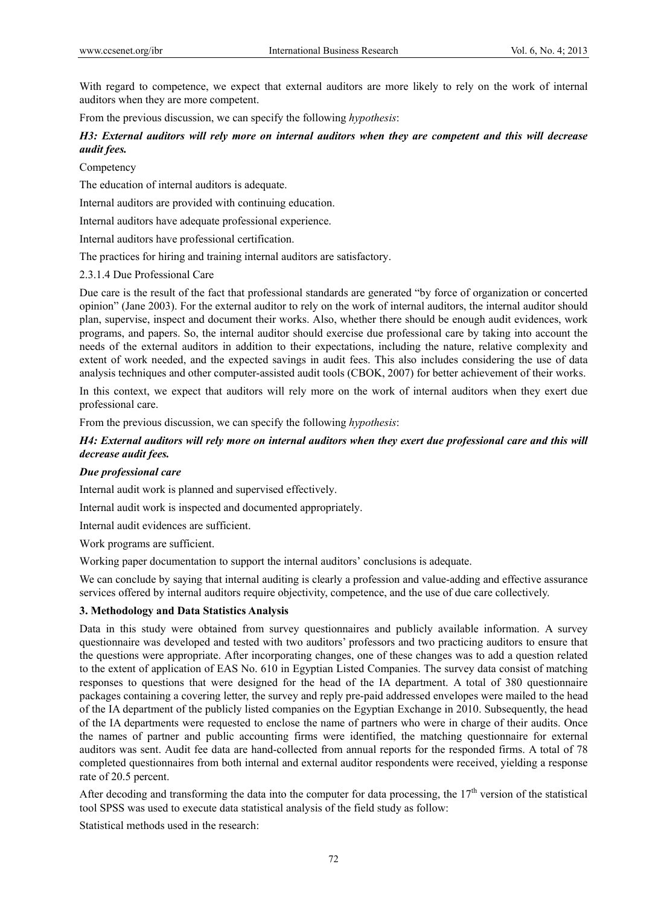With regard to competence, we expect that external auditors are more likely to rely on the work of internal auditors when they are more competent.

From the previous discussion, we can specify the following *hypothesis*:

# *H3: External auditors will rely more on internal auditors when they are competent and this will decrease audit fees.*

Competency

The education of internal auditors is adequate.

Internal auditors are provided with continuing education.

Internal auditors have adequate professional experience.

Internal auditors have professional certification.

The practices for hiring and training internal auditors are satisfactory.

2.3.1.4 Due Professional Care

Due care is the result of the fact that professional standards are generated "by force of organization or concerted opinion" (Jane 2003). For the external auditor to rely on the work of internal auditors, the internal auditor should plan, supervise, inspect and document their works. Also, whether there should be enough audit evidences, work programs, and papers. So, the internal auditor should exercise due professional care by taking into account the needs of the external auditors in addition to their expectations, including the nature, relative complexity and extent of work needed, and the expected savings in audit fees. This also includes considering the use of data analysis techniques and other computer-assisted audit tools (CBOK, 2007) for better achievement of their works.

In this context, we expect that auditors will rely more on the work of internal auditors when they exert due professional care.

From the previous discussion, we can specify the following *hypothesis*:

# *H4: External auditors will rely more on internal auditors when they exert due professional care and this will decrease audit fees.*

#### *Due professional care*

Internal audit work is planned and supervised effectively.

Internal audit work is inspected and documented appropriately.

Internal audit evidences are sufficient.

Work programs are sufficient.

Working paper documentation to support the internal auditors' conclusions is adequate.

We can conclude by saying that internal auditing is clearly a profession and value-adding and effective assurance services offered by internal auditors require objectivity, competence, and the use of due care collectively.

### **3. Methodology and Data Statistics Analysis**

Data in this study were obtained from survey questionnaires and publicly available information. A survey questionnaire was developed and tested with two auditors' professors and two practicing auditors to ensure that the questions were appropriate. After incorporating changes, one of these changes was to add a question related to the extent of application of EAS No. 610 in Egyptian Listed Companies. The survey data consist of matching responses to questions that were designed for the head of the IA department. A total of 380 questionnaire packages containing a covering letter, the survey and reply pre-paid addressed envelopes were mailed to the head of the IA department of the publicly listed companies on the Egyptian Exchange in 2010. Subsequently, the head of the IA departments were requested to enclose the name of partners who were in charge of their audits. Once the names of partner and public accounting firms were identified, the matching questionnaire for external auditors was sent. Audit fee data are hand-collected from annual reports for the responded firms. A total of 78 completed questionnaires from both internal and external auditor respondents were received, yielding a response rate of 20.5 percent.

After decoding and transforming the data into the computer for data processing, the  $17<sup>th</sup>$  version of the statistical tool SPSS was used to execute data statistical analysis of the field study as follow:

Statistical methods used in the research: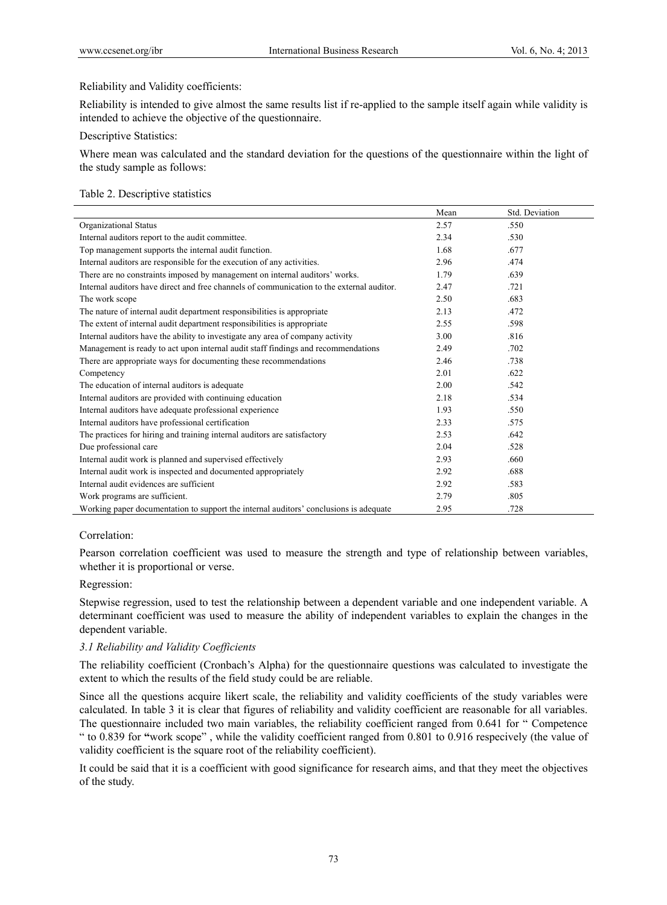# Reliability and Validity coefficients:

Reliability is intended to give almost the same results list if re-applied to the sample itself again while validity is intended to achieve the objective of the questionnaire.

### Descriptive Statistics:

Where mean was calculated and the standard deviation for the questions of the questionnaire within the light of the study sample as follows:

# Table 2. Descriptive statistics

|                                                                                           | Mean | Std. Deviation |
|-------------------------------------------------------------------------------------------|------|----------------|
| Organizational Status                                                                     | 2.57 | .550           |
| Internal auditors report to the audit committee.                                          | 2.34 | .530           |
| Top management supports the internal audit function.                                      | 1.68 | .677           |
| Internal auditors are responsible for the execution of any activities.                    | 2.96 | .474           |
| There are no constraints imposed by management on internal auditors' works.               | 1.79 | .639           |
| Internal auditors have direct and free channels of communication to the external auditor. | 2.47 | .721           |
| The work scope                                                                            | 2.50 | .683           |
| The nature of internal audit department responsibilities is appropriate                   | 2.13 | .472           |
| The extent of internal audit department responsibilities is appropriate                   | 2.55 | .598           |
| Internal auditors have the ability to investigate any area of company activity            | 3.00 | .816           |
| Management is ready to act upon internal audit staff findings and recommendations         | 2.49 | .702           |
| There are appropriate ways for documenting these recommendations                          | 2.46 | .738           |
| Competency                                                                                | 2.01 | .622           |
| The education of internal auditors is adequate                                            | 2.00 | .542           |
| Internal auditors are provided with continuing education                                  | 2.18 | .534           |
| Internal auditors have adequate professional experience                                   | 1.93 | .550           |
| Internal auditors have professional certification                                         | 2.33 | .575           |
| The practices for hiring and training internal auditors are satisfactory                  | 2.53 | .642           |
| Due professional care                                                                     | 2.04 | .528           |
| Internal audit work is planned and supervised effectively                                 | 2.93 | .660           |
| Internal audit work is inspected and documented appropriately                             | 2.92 | .688           |
| Internal audit evidences are sufficient                                                   | 2.92 | .583           |
| Work programs are sufficient.                                                             | 2.79 | .805           |
| Working paper documentation to support the internal auditors' conclusions is adequate     | 2.95 | .728           |

# Correlation:

Pearson correlation coefficient was used to measure the strength and type of relationship between variables, whether it is proportional or verse.

### Regression:

Stepwise regression, used to test the relationship between a dependent variable and one independent variable. A determinant coefficient was used to measure the ability of independent variables to explain the changes in the dependent variable.

# *3.1 Reliability and Validity Coefficients*

The reliability coefficient (Cronbach's Alpha) for the questionnaire questions was calculated to investigate the extent to which the results of the field study could be are reliable.

Since all the questions acquire likert scale, the reliability and validity coefficients of the study variables were calculated. In table 3 it is clear that figures of reliability and validity coefficient are reasonable for all variables. The questionnaire included two main variables, the reliability coefficient ranged from 0.641 for " Competence " to 0.839 for **"**work scope" , while the validity coefficient ranged from 0.801 to 0.916 respecively (the value of validity coefficient is the square root of the reliability coefficient).

It could be said that it is a coefficient with good significance for research aims, and that they meet the objectives of the study.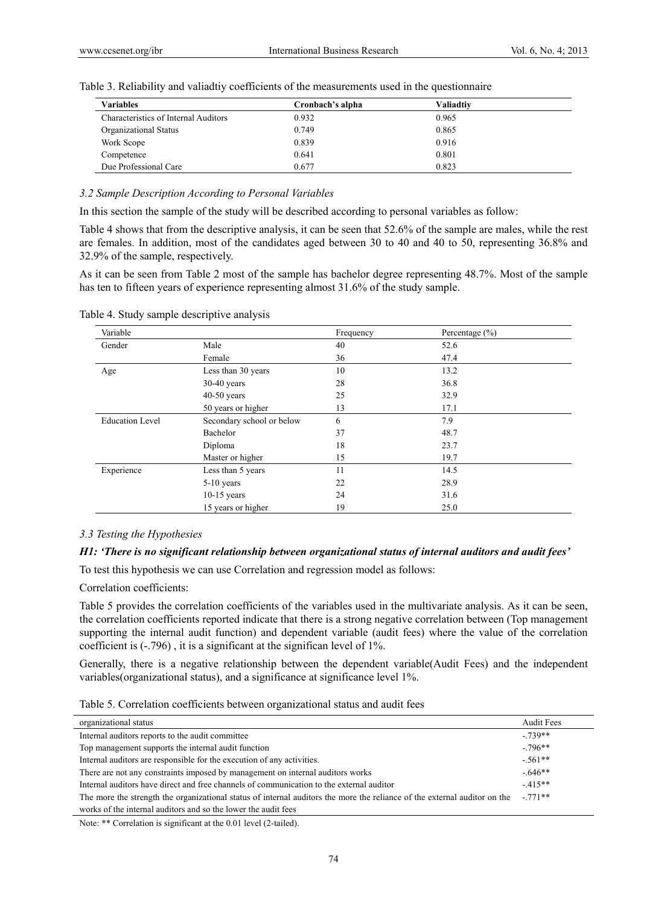|  | Table 3. Reliability and valiadity coefficients of the measurements used in the questionnaire |  |
|--|-----------------------------------------------------------------------------------------------|--|

| Variables                            | Cronbach's alpha | Valiadtiv |  |
|--------------------------------------|------------------|-----------|--|
| Characteristics of Internal Auditors | 0.932            | 0.965     |  |
| Organizational Status                | 0.749            | 0.865     |  |
| Work Scope                           | 0.839            | 0.916     |  |
| Competence                           | 0.641            | 0.801     |  |
| Due Professional Care                | 0.677            | 0.823     |  |

### *3.2 Sample Description According to Personal Variables*

In this section the sample of the study will be described according to personal variables as follow:

Table 4 shows that from the descriptive analysis, it can be seen that 52.6% of the sample are males, while the rest are females. In addition, most of the candidates aged between 30 to 40 and 40 to 50, representing 36.8% and 32.9% of the sample, respectively.

As it can be seen from Table 2 most of the sample has bachelor degree representing 48.7%. Most of the sample has ten to fifteen years of experience representing almost 31.6% of the study sample.

| Variable               |                           | Frequency | Percentage $(\% )$ |  |
|------------------------|---------------------------|-----------|--------------------|--|
| Gender                 | Male                      | 40        | 52.6               |  |
|                        | Female                    | 36        | 47.4               |  |
| Age                    | Less than 30 years        | 10        | 13.2               |  |
|                        | $30-40$ years             | 28        | 36.8               |  |
|                        | $40-50$ years             | 25        | 32.9               |  |
|                        | 50 years or higher        | 13        | 17.1               |  |
| <b>Education Level</b> | Secondary school or below | 6         | 7.9                |  |
|                        | Bachelor                  | 37        | 48.7               |  |
|                        | Diploma                   | 18        | 23.7               |  |
|                        | Master or higher          | 15        | 19.7               |  |
| Experience             | Less than 5 years         | 11        | 14.5               |  |
|                        | $5-10$ years              | 22        | 28.9               |  |
|                        | $10-15$ years             | 24        | 31.6               |  |
|                        | 15 years or higher        | 19        | 25.0               |  |

Table 4. Study sample descriptive analysis

### *3.3 Testing the Hypothesies*

### *H1: 'There is no significant relationship between organizational status of internal auditors and audit fees'*

To test this hypothesis we can use Correlation and regression model as follows:

Correlation coefficients:

Table 5 provides the correlation coefficients of the variables used in the multivariate analysis. As it can be seen, the correlation coefficients reported indicate that there is a strong negative correlation between (Top management supporting the internal audit function) and dependent variable (audit fees) where the value of the correlation coefficient is (-.796) , it is a significant at the significan level of 1%.

Generally, there is a negative relationship between the dependent variable(Audit Fees) and the independent variables(organizational status), and a significance at significance level 1%.

|  |  | Table 5. Correlation coefficients between organizational status and audit fees |  |
|--|--|--------------------------------------------------------------------------------|--|
|  |  |                                                                                |  |

| organizational status                                                                                                     | <b>Audit Fees</b> |
|---------------------------------------------------------------------------------------------------------------------------|-------------------|
| Internal auditors reports to the audit committee                                                                          | $-739**$          |
| Top management supports the internal audit function                                                                       | $-796**$          |
| Internal auditors are responsible for the execution of any activities.                                                    | $-.561**$         |
| There are not any constraints imposed by management on internal auditors works                                            | $-646**$          |
| Internal auditors have direct and free channels of communication to the external auditor                                  | $-415**$          |
| The more the strength the organizational status of internal auditors the more the reliance of the external auditor on the | $-771**$          |
| works of the internal auditors and so the lower the audit fees                                                            |                   |
| $\mathcal{N}$ and $\mathcal{N}$ are the set of $\mathcal{N}$ and $\mathcal{N}$ are the set of $\mathcal{N}$               |                   |

Note: \*\* Correlation is significant at the 0.01 level (2-tailed).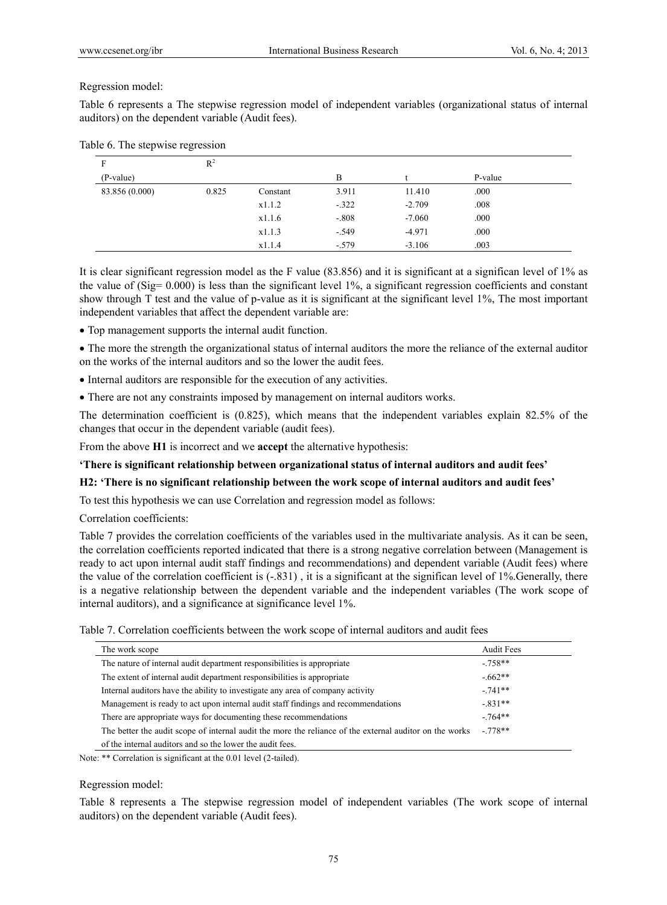### Regression model:

Table 6 represents a The stepwise regression model of independent variables (organizational status of internal auditors) on the dependent variable (Audit fees).

| F              | $R^2$ |          |         |          |         |  |
|----------------|-------|----------|---------|----------|---------|--|
| (P-value)      |       |          | B       |          | P-value |  |
| 83.856 (0.000) | 0.825 | Constant | 3.911   | 11.410   | .000    |  |
|                |       | x1.1.2   | $-.322$ | $-2.709$ | .008    |  |
|                |       | x1.1.6   | $-.808$ | $-7.060$ | .000    |  |
|                |       | x1.1.3   | $-.549$ | $-4.971$ | .000    |  |
|                |       | x1.1.4   | $-.579$ | $-3.106$ | .003    |  |

### Table 6. The stepwise regression

It is clear significant regression model as the F value (83.856) and it is significant at a significan level of 1% as the value of  $(Sig = 0.000)$  is less than the significant level 1%, a significant regression coefficients and constant show through T test and the value of p-value as it is significant at the significant level 1%, The most important independent variables that affect the dependent variable are:

Top management supports the internal audit function.

 The more the strength the organizational status of internal auditors the more the reliance of the external auditor on the works of the internal auditors and so the lower the audit fees.

- Internal auditors are responsible for the execution of any activities.
- There are not any constraints imposed by management on internal auditors works.

The determination coefficient is (0.825), which means that the independent variables explain 82.5% of the changes that occur in the dependent variable (audit fees).

From the above **H1** is incorrect and we **accept** the alternative hypothesis:

### **'There is significant relationship between organizational status of internal auditors and audit fees'**

#### **H2: 'There is no significant relationship between the work scope of internal auditors and audit fees'**

To test this hypothesis we can use Correlation and regression model as follows:

Correlation coefficients:

Table 7 provides the correlation coefficients of the variables used in the multivariate analysis. As it can be seen, the correlation coefficients reported indicated that there is a strong negative correlation between (Management is ready to act upon internal audit staff findings and recommendations) and dependent variable (Audit fees) where the value of the correlation coefficient is  $(-.831)$ , it is a significant at the significan level of 1%. Generally, there is a negative relationship between the dependent variable and the independent variables (The work scope of internal auditors), and a significance at significance level 1%.

| Table 7. Correlation coefficients between the work scope of internal auditors and audit fees |  |
|----------------------------------------------------------------------------------------------|--|
|----------------------------------------------------------------------------------------------|--|

| The work scope                                                                                          | <b>Audit Fees</b> |
|---------------------------------------------------------------------------------------------------------|-------------------|
| The nature of internal audit department responsibilities is appropriate                                 | $-758**$          |
| The extent of internal audit department responsibilities is appropriate                                 | $-.662**$         |
| Internal auditors have the ability to investigate any area of company activity                          | $-741**$          |
| Management is ready to act upon internal audit staff findings and recommendations                       | $-.831**$         |
| There are appropriate ways for documenting these recommendations                                        | $-764**$          |
| The better the audit scope of internal audit the more the reliance of the external auditor on the works | $-778**$          |
| of the internal auditors and so the lower the audit fees.                                               |                   |

Note: \*\* Correlation is significant at the 0.01 level (2-tailed).

#### Regression model:

Table 8 represents a The stepwise regression model of independent variables (The work scope of internal auditors) on the dependent variable (Audit fees).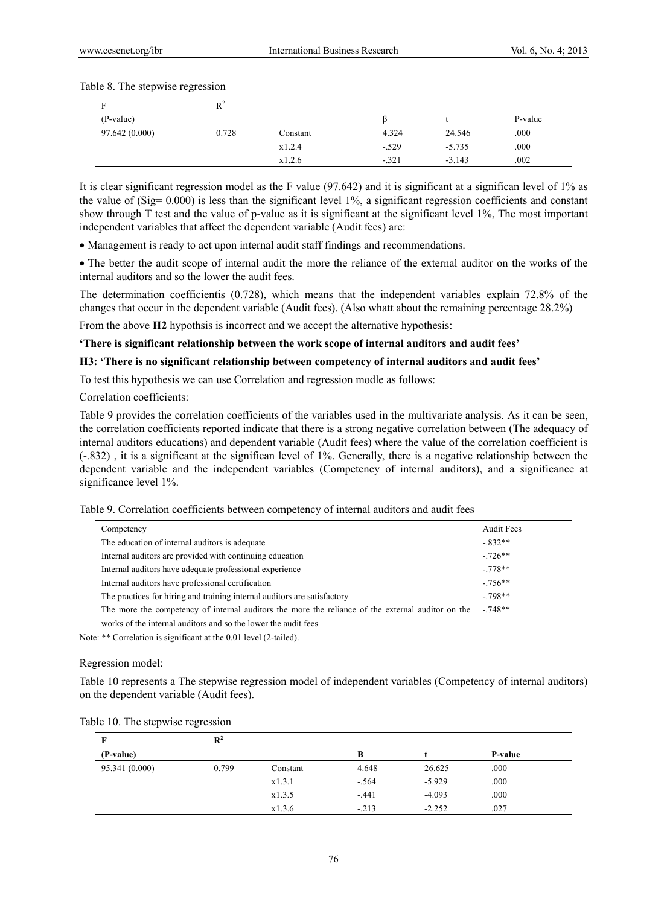| Table 8. The stepwise regression |  |
|----------------------------------|--|
|----------------------------------|--|

|                | $R^2$ |          |         |          |         |
|----------------|-------|----------|---------|----------|---------|
| (P-value)      |       |          |         |          | P-value |
| 97.642 (0.000) | 0.728 | Constant | 4.324   | 24.546   | .000    |
|                |       | x1.2.4   | $-.529$ | $-5.735$ | .000    |
|                |       | x1.2.6   | $-321$  | $-3.143$ | .002    |

It is clear significant regression model as the F value (97.642) and it is significant at a significan level of 1% as the value of  $(Sig = 0.000)$  is less than the significant level 1%, a significant regression coefficients and constant show through T test and the value of p-value as it is significant at the significant level 1%, The most important independent variables that affect the dependent variable (Audit fees) are:

Management is ready to act upon internal audit staff findings and recommendations.

 The better the audit scope of internal audit the more the reliance of the external auditor on the works of the internal auditors and so the lower the audit fees.

The determination coefficientis (0.728), which means that the independent variables explain 72.8% of the changes that occur in the dependent variable (Audit fees). (Also whatt about the remaining percentage 28.2%)

From the above **H2** hypothsis is incorrect and we accept the alternative hypothesis:

### **'There is significant relationship between the work scope of internal auditors and audit fees'**

#### **H3: 'There is no significant relationship between competency of internal auditors and audit fees'**

To test this hypothesis we can use Correlation and regression modle as follows:

Correlation coefficients:

Table 9 provides the correlation coefficients of the variables used in the multivariate analysis. As it can be seen, the correlation coefficients reported indicate that there is a strong negative correlation between (The adequacy of internal auditors educations) and dependent variable (Audit fees) where the value of the correlation coefficient is (-.832) , it is a significant at the significan level of 1%. Generally, there is a negative relationship between the dependent variable and the independent variables (Competency of internal auditors), and a significance at significance level 1%.

Table 9. Correlation coefficients between competency of internal auditors and audit fees

| Competency                                                                                        | <b>Audit Fees</b> |
|---------------------------------------------------------------------------------------------------|-------------------|
| The education of internal auditors is adequate                                                    | $-832**$          |
| Internal auditors are provided with continuing education                                          | $-726**$          |
| Internal auditors have adequate professional experience                                           | $-778**$          |
| Internal auditors have professional certification                                                 | $-756**$          |
| The practices for hiring and training internal auditors are satisfactory                          | $-798**$          |
| The more the competency of internal auditors the more the reliance of the external auditor on the | $-748**$          |
| works of the internal auditors and so the lower the audit fees                                    |                   |

Note: \*\* Correlation is significant at the 0.01 level (2-tailed).

### Regression model:

Table 10 represents a The stepwise regression model of independent variables (Competency of internal auditors) on the dependent variable (Audit fees).

|  |  | Table 10. The stepwise regression |
|--|--|-----------------------------------|
|  |  |                                   |

| F              | $\mathbb{R}^2$ |          |         |          |         |
|----------------|----------------|----------|---------|----------|---------|
| (P-value)      |                |          | B       |          | P-value |
| 95.341 (0.000) | 0.799          | Constant | 4.648   | 26.625   | .000    |
|                |                | x1.3.1   | $-.564$ | $-5.929$ | .000    |
|                |                | x1.3.5   | $-441$  | $-4.093$ | .000    |
|                |                | x1.3.6   | $-213$  | $-2.252$ | .027    |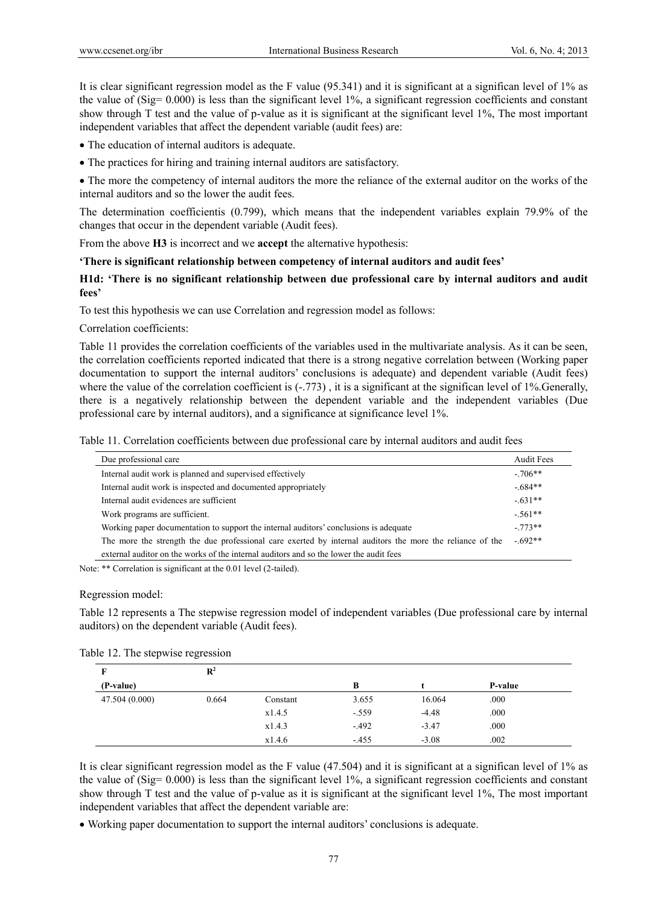It is clear significant regression model as the F value (95.341) and it is significant at a significan level of 1% as the value of  $(Sig = 0.000)$  is less than the significant level 1%, a significant regression coefficients and constant show through T test and the value of p-value as it is significant at the significant level 1%, The most important independent variables that affect the dependent variable (audit fees) are:

- The education of internal auditors is adequate.
- The practices for hiring and training internal auditors are satisfactory.

 The more the competency of internal auditors the more the reliance of the external auditor on the works of the internal auditors and so the lower the audit fees.

The determination coefficientis (0.799), which means that the independent variables explain 79.9% of the changes that occur in the dependent variable (Audit fees).

From the above **H3** is incorrect and we **accept** the alternative hypothesis:

# **'There is significant relationship between competency of internal auditors and audit fees'**

# **H1d: 'There is no significant relationship between due professional care by internal auditors and audit fees'**

To test this hypothesis we can use Correlation and regression model as follows:

Correlation coefficients:

Table 11 provides the correlation coefficients of the variables used in the multivariate analysis. As it can be seen, the correlation coefficients reported indicated that there is a strong negative correlation between (Working paper documentation to support the internal auditors' conclusions is adequate) and dependent variable (Audit fees) where the value of the correlation coefficient is  $(-.773)$ , it is a significant at the significan level of 1%. Generally, there is a negatively relationship between the dependent variable and the independent variables (Due professional care by internal auditors), and a significance at significance level 1%.

Table 11. Correlation coefficients between due professional care by internal auditors and audit fees

| Due professional care                                                                                     | <b>Audit Fees</b> |
|-----------------------------------------------------------------------------------------------------------|-------------------|
| Internal audit work is planned and supervised effectively                                                 | $-706**$          |
| Internal audit work is inspected and documented appropriately                                             | $-.684**$         |
| Internal audit evidences are sufficient                                                                   | $-631**$          |
| Work programs are sufficient.                                                                             | $-561**$          |
| Working paper documentation to support the internal auditors' conclusions is adequate                     | $-773**$          |
| The more the strength the due professional care exerted by internal auditors the more the reliance of the | $-692**$          |
| external auditor on the works of the internal auditors and so the lower the audit fees                    |                   |

Note: \*\* Correlation is significant at the 0.01 level (2-tailed).

Regression model:

Table 12 represents a The stepwise regression model of independent variables (Due professional care by internal auditors) on the dependent variable (Audit fees).

| Table 12. The stepwise regression |  |
|-----------------------------------|--|
|-----------------------------------|--|

|                | $\mathbb{R}^2$ |          |        |         |         |  |
|----------------|----------------|----------|--------|---------|---------|--|
| (P-value)      |                |          | B      |         | P-value |  |
| 47.504 (0.000) | 0.664          | Constant | 3.655  | 16.064  | .000    |  |
|                |                | x1.4.5   | $-559$ | $-4.48$ | .000    |  |
|                |                | x1.4.3   | $-492$ | $-3.47$ | .000    |  |
|                |                | x1.4.6   | $-455$ | $-3.08$ | .002    |  |

It is clear significant regression model as the F value (47.504) and it is significant at a significan level of 1% as the value of  $(Sig = 0.000)$  is less than the significant level 1%, a significant regression coefficients and constant show through T test and the value of p-value as it is significant at the significant level 1%, The most important independent variables that affect the dependent variable are:

Working paper documentation to support the internal auditors' conclusions is adequate.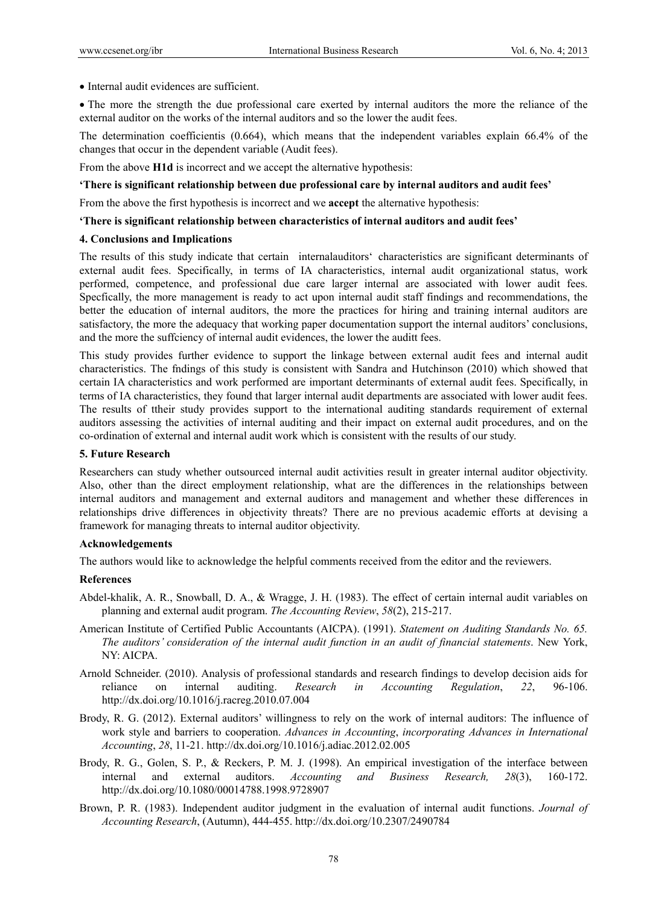• Internal audit evidences are sufficient.

 The more the strength the due professional care exerted by internal auditors the more the reliance of the external auditor on the works of the internal auditors and so the lower the audit fees.

The determination coefficientis (0.664), which means that the independent variables explain 66.4% of the changes that occur in the dependent variable (Audit fees).

From the above **H1d** is incorrect and we accept the alternative hypothesis:

### **'There is significant relationship between due professional care by internal auditors and audit fees'**

From the above the first hypothesis is incorrect and we **accept** the alternative hypothesis:

# **'There is significant relationship between characteristics of internal auditors and audit fees'**

### **4. Conclusions and Implications**

The results of this study indicate that certain internal auditors' characteristics are significant determinants of external audit fees. Specifically, in terms of IA characteristics, internal audit organizational status, work performed, competence, and professional due care larger internal are associated with lower audit fees. Specfically, the more management is ready to act upon internal audit staff findings and recommendations, the better the education of internal auditors, the more the practices for hiring and training internal auditors are satisfactory, the more the adequacy that working paper documentation support the internal auditors' conclusions, and the more the suffciency of internal audit evidences, the lower the auditt fees.

This study provides further evidence to support the linkage between external audit fees and internal audit characteristics. The fndings of this study is consistent with Sandra and Hutchinson (2010) which showed that certain IA characteristics and work performed are important determinants of external audit fees. Specifically, in terms of IA characteristics, they found that larger internal audit departments are associated with lower audit fees. The results of ttheir study provides support to the international auditing standards requirement of external auditors assessing the activities of internal auditing and their impact on external audit procedures, and on the co-ordination of external and internal audit work which is consistent with the results of our study.

# **5. Future Research**

Researchers can study whether outsourced internal audit activities result in greater internal auditor objectivity. Also, other than the direct employment relationship, what are the differences in the relationships between internal auditors and management and external auditors and management and whether these differences in relationships drive differences in objectivity threats? There are no previous academic efforts at devising a framework for managing threats to internal auditor objectivity.

### **Acknowledgements**

The authors would like to acknowledge the helpful comments received from the editor and the reviewers.

### **References**

- Abdel-khalik, A. R., Snowball, D. A., & Wragge, J. H. (1983). The effect of certain internal audit variables on planning and external audit program. *The Accounting Review*, *58*(2), 215-217.
- American Institute of Certified Public Accountants (AICPA). (1991). *Statement on Auditing Standards No. 65. The auditors' consideration of the internal audit function in an audit of financial statements*. New York, NY: AICPA.
- Arnold Schneider. (2010). Analysis of professional standards and research findings to develop decision aids for reliance on internal auditing. *Research in Accounting Regulation*, *22*, 96-106. http://dx.doi.org/10.1016/j.racreg.2010.07.004
- Brody, R. G. (2012). External auditors' willingness to rely on the work of internal auditors: The influence of work style and barriers to cooperation. *Advances in Accounting*, *incorporating Advances in International Accounting*, *28*, 11-21. http://dx.doi.org/10.1016/j.adiac.2012.02.005
- Brody, R. G., Golen, S. P., & Reckers, P. M. J. (1998). An empirical investigation of the interface between internal and external auditors. *Accounting and Business Research, 28*(3), 160-172. http://dx.doi.org/10.1080/00014788.1998.9728907
- Brown, P. R. (1983). Independent auditor judgment in the evaluation of internal audit functions. *Journal of Accounting Research*, (Autumn), 444-455. http://dx.doi.org/10.2307/2490784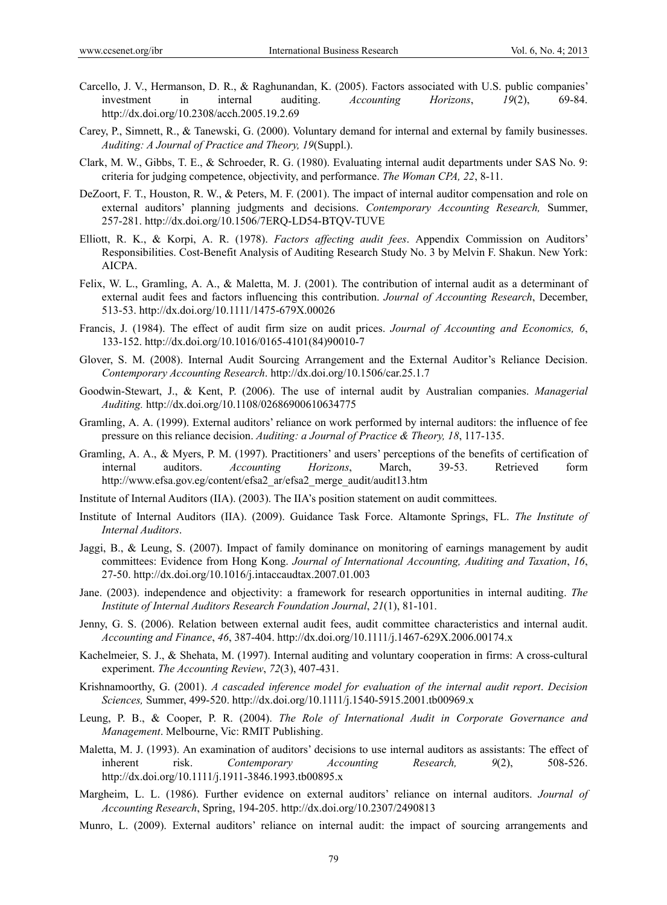- Carcello, J. V., Hermanson, D. R., & Raghunandan, K. (2005). Factors associated with U.S. public companies' investment in internal auditing. *Accounting Horizons*, *19*(2), 69-84. http://dx.doi.org/10.2308/acch.2005.19.2.69
- Carey, P., Simnett, R., & Tanewski, G. (2000). Voluntary demand for internal and external by family businesses. *Auditing: A Journal of Practice and Theory, 19*(Suppl.).
- Clark, M. W., Gibbs, T. E., & Schroeder, R. G. (1980). Evaluating internal audit departments under SAS No. 9: criteria for judging competence, objectivity, and performance. *The Woman CPA, 22*, 8-11.
- DeZoort, F. T., Houston, R. W., & Peters, M. F. (2001). The impact of internal auditor compensation and role on external auditors' planning judgments and decisions. *Contemporary Accounting Research,* Summer, 257-281. http://dx.doi.org/10.1506/7ERQ-LD54-BTQV-TUVE
- Elliott, R. K., & Korpi, A. R. (1978). *Factors affecting audit fees*. Appendix Commission on Auditors' Responsibilities. Cost-Benefit Analysis of Auditing Research Study No. 3 by Melvin F. Shakun. New York: AICPA.
- Felix, W. L., Gramling, A. A., & Maletta, M. J. (2001). The contribution of internal audit as a determinant of external audit fees and factors influencing this contribution. *Journal of Accounting Research*, December, 513-53. http://dx.doi.org/10.1111/1475-679X.00026
- Francis, J. (1984). The effect of audit firm size on audit prices. *Journal of Accounting and Economics, 6*, 133-152. http://dx.doi.org/10.1016/0165-4101(84)90010-7
- Glover, S. M. (2008). Internal Audit Sourcing Arrangement and the External Auditor's Reliance Decision. *Contemporary Accounting Research*. http://dx.doi.org/10.1506/car.25.1.7
- Goodwin-Stewart, J., & Kent, P. (2006). The use of internal audit by Australian companies. *Managerial Auditing.* http://dx.doi.org/10.1108/02686900610634775
- Gramling, A. A. (1999). External auditors' reliance on work performed by internal auditors: the influence of fee pressure on this reliance decision. *Auditing: a Journal of Practice & Theory, 18*, 117-135.
- Gramling, A. A., & Myers, P. M. (1997). Practitioners' and users' perceptions of the benefits of certification of internal auditors. *Accounting Horizons*, March, 39-53. Retrieved form http://www.efsa.gov.eg/content/efsa2\_ar/efsa2\_merge\_audit/audit13.htm
- Institute of Internal Auditors (IIA). (2003). The IIA's position statement on audit committees.
- Institute of Internal Auditors (IIA). (2009). Guidance Task Force. Altamonte Springs, FL. *The Institute of Internal Auditors*.
- Jaggi, B., & Leung, S. (2007). Impact of family dominance on monitoring of earnings management by audit committees: Evidence from Hong Kong. *Journal of International Accounting, Auditing and Taxation*, *16*, 27-50. http://dx.doi.org/10.1016/j.intaccaudtax.2007.01.003
- Jane. (2003). independence and objectivity: a framework for research opportunities in internal auditing. *The Institute of Internal Auditors Research Foundation Journal*, *21*(1), 81-101.
- Jenny, G. S. (2006). Relation between external audit fees, audit committee characteristics and internal audit. *Accounting and Finance*, *46*, 387-404. http://dx.doi.org/10.1111/j.1467-629X.2006.00174.x
- Kachelmeier, S. J., & Shehata, M. (1997). Internal auditing and voluntary cooperation in firms: A cross-cultural experiment. *The Accounting Review*, *72*(3), 407-431.
- Krishnamoorthy, G. (2001). *A cascaded inference model for evaluation of the internal audit report*. *Decision Sciences,* Summer, 499-520. http://dx.doi.org/10.1111/j.1540-5915.2001.tb00969.x
- Leung, P. B., & Cooper, P. R. (2004). *The Role of International Audit in Corporate Governance and Management*. Melbourne, Vic: RMIT Publishing.
- Maletta, M. J. (1993). An examination of auditors' decisions to use internal auditors as assistants: The effect of inherent risk. *Contemporary Accounting Research, 9*(2), 508-526. http://dx.doi.org/10.1111/j.1911-3846.1993.tb00895.x
- Margheim, L. L. (1986). Further evidence on external auditors' reliance on internal auditors. *Journal of Accounting Research*, Spring, 194-205. http://dx.doi.org/10.2307/2490813
- Munro, L. (2009). External auditors' reliance on internal audit: the impact of sourcing arrangements and